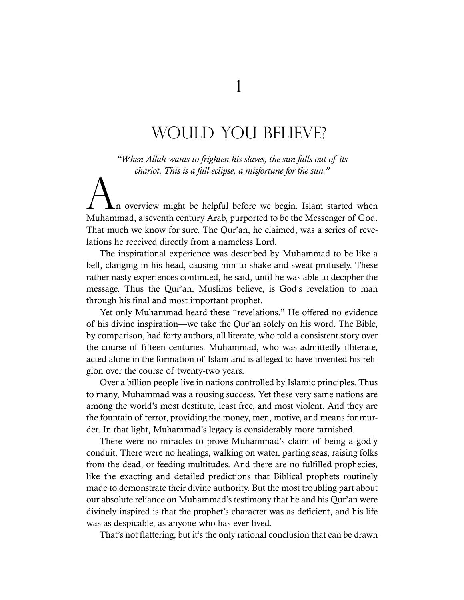## would you believe?

*"When Allah wants to frighten his slaves, the sun falls out of its chariot. This is a full eclipse, a misfortune for the sun."*

In overview might be helpful before we begin. Islam started when Muhammad, a seventh century Arab, purported to be the Messenger of God. That much we know for sure. The Qur'an, he claimed, was a series of revelations he received directly from a nameless Lord.

The inspirational experience was described by Muhammad to be like a bell, clanging in his head, causing him to shake and sweat profusely. These rather nasty experiences continued, he said, until he was able to decipher the message. Thus the Qur'an, Muslims believe, is God's revelation to man through his final and most important prophet.

Yet only Muhammad heard these "revelations." He offered no evidence of his divine inspiration—we take the Qur'an solely on his word. The Bible, by comparison, had forty authors, all literate, who told a consistent story over the course of fifteen centuries. Muhammad, who was admittedly illiterate, acted alone in the formation of Islam and is alleged to have invented his religion over the course of twenty-two years.

Over a billion people live in nations controlled by Islamic principles. Thus to many, Muhammad was a rousing success. Yet these very same nations are among the world's most destitute, least free, and most violent. And they are the fountain of terror, providing the money, men, motive, and means for murder. In that light, Muhammad's legacy is considerably more tarnished.

There were no miracles to prove Muhammad's claim of being a godly conduit. There were no healings, walking on water, parting seas, raising folks from the dead, or feeding multitudes. And there are no fulfilled prophecies, like the exacting and detailed predictions that Biblical prophets routinely made to demonstrate their divine authority. But the most troubling part about our absolute reliance on Muhammad's testimony that he and his Qur'an were divinely inspired is that the prophet's character was as deficient, and his life was as despicable, as anyone who has ever lived.

That's not flattering, but it's the only rational conclusion that can be drawn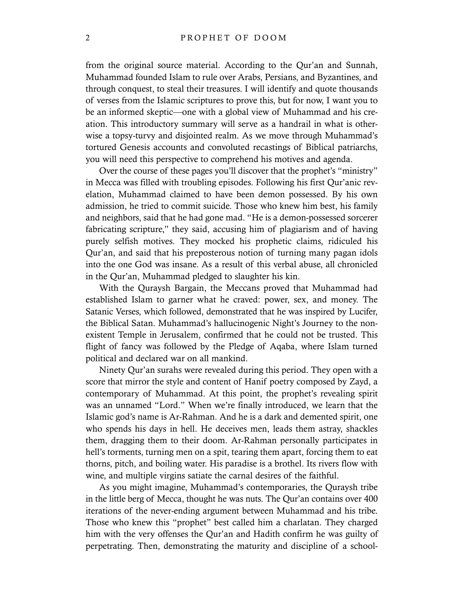from the original source material. According to the Qur'an and Sunnah, Muhammad founded Islam to rule over Arabs, Persians, and Byzantines, and through conquest, to steal their treasures. I will identify and quote thousands of verses from the Islamic scriptures to prove this, but for now, I want you to be an informed skeptic—one with a global view of Muhammad and his creation. This introductory summary will serve as a handrail in what is otherwise a topsy-turvy and disjointed realm. As we move through Muhammad's tortured Genesis accounts and convoluted recastings of Biblical patriarchs, you will need this perspective to comprehend his motives and agenda.

Over the course of these pages you'll discover that the prophet's "ministry" in Mecca was filled with troubling episodes. Following his first Qur'anic revelation, Muhammad claimed to have been demon possessed. By his own admission, he tried to commit suicide. Those who knew him best, his family and neighbors, said that he had gone mad. "He is a demon-possessed sorcerer fabricating scripture," they said, accusing him of plagiarism and of having purely selfish motives. They mocked his prophetic claims, ridiculed his Qur'an, and said that his preposterous notion of turning many pagan idols into the one God was insane. As a result of this verbal abuse, all chronicled in the Qur'an, Muhammad pledged to slaughter his kin.

With the Quraysh Bargain, the Meccans proved that Muhammad had established Islam to garner what he craved: power, sex, and money. The Satanic Verses, which followed, demonstrated that he was inspired by Lucifer, the Biblical Satan. Muhammad's hallucinogenic Night's Journey to the nonexistent Temple in Jerusalem, confirmed that he could not be trusted. This flight of fancy was followed by the Pledge of Aqaba, where Islam turned political and declared war on all mankind.

Ninety Qur'an surahs were revealed during this period. They open with a score that mirror the style and content of Hanif poetry composed by Zayd, a contemporary of Muhammad. At this point, the prophet's revealing spirit was an unnamed "Lord." When we're finally introduced, we learn that the Islamic god's name is Ar-Rahman. And he is a dark and demented spirit, one who spends his days in hell. He deceives men, leads them astray, shackles them, dragging them to their doom. Ar-Rahman personally participates in hell's torments, turning men on a spit, tearing them apart, forcing them to eat thorns, pitch, and boiling water. His paradise is a brothel. Its rivers flow with wine, and multiple virgins satiate the carnal desires of the faithful.

As you might imagine, Muhammad's contemporaries, the Quraysh tribe in the little berg of Mecca, thought he was nuts. The Qur'an contains over 400 iterations of the never-ending argument between Muhammad and his tribe. Those who knew this "prophet" best called him a charlatan. They charged him with the very offenses the Qur'an and Hadith confirm he was guilty of perpetrating. Then, demonstrating the maturity and discipline of a school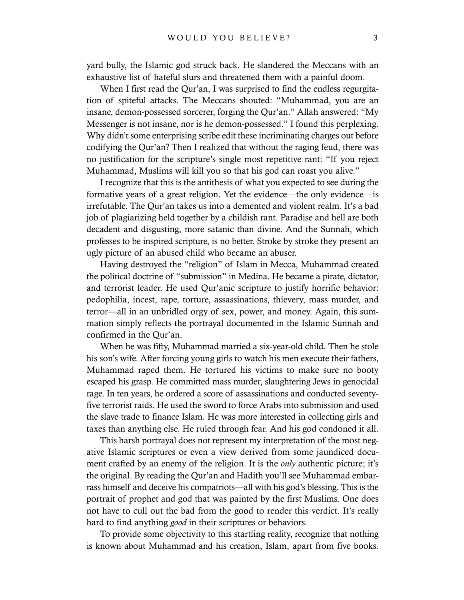yard bully, the Islamic god struck back. He slandered the Meccans with an exhaustive list of hateful slurs and threatened them with a painful doom.

When I first read the Qur'an, I was surprised to find the endless regurgitation of spiteful attacks. The Meccans shouted: "Muhammad, you are an insane, demon-possessed sorcerer, forging the Qur'an." Allah answered: "My Messenger is not insane, nor is he demon-possessed." I found this perplexing. Why didn't some enterprising scribe edit these incriminating charges out before codifying the Qur'an? Then I realized that without the raging feud, there was no justification for the scripture's single most repetitive rant: "If you reject Muhammad, Muslims will kill you so that his god can roast you alive."

I recognize that this is the antithesis of what you expected to see during the formative years of a great religion. Yet the evidence—the only evidence—is irrefutable. The Qur'an takes us into a demented and violent realm. It's a bad job of plagiarizing held together by a childish rant. Paradise and hell are both decadent and disgusting, more satanic than divine. And the Sunnah, which professes to be inspired scripture, is no better. Stroke by stroke they present an ugly picture of an abused child who became an abuser.

Having destroyed the "religion" of Islam in Mecca, Muhammad created the political doctrine of "submission" in Medina. He became a pirate, dictator, and terrorist leader. He used Qur'anic scripture to justify horrific behavior: pedophilia, incest, rape, torture, assassinations, thievery, mass murder, and terror—all in an unbridled orgy of sex, power, and money. Again, this summation simply reflects the portrayal documented in the Islamic Sunnah and confirmed in the Qur'an.

When he was fifty, Muhammad married a six-year-old child. Then he stole his son's wife. After forcing young girls to watch his men execute their fathers, Muhammad raped them. He tortured his victims to make sure no booty escaped his grasp. He committed mass murder, slaughtering Jews in genocidal rage. In ten years, he ordered a score of assassinations and conducted seventyfive terrorist raids. He used the sword to force Arabs into submission and used the slave trade to finance Islam. He was more interested in collecting girls and taxes than anything else. He ruled through fear. And his god condoned it all.

This harsh portrayal does not represent my interpretation of the most negative Islamic scriptures or even a view derived from some jaundiced document crafted by an enemy of the religion. It is the *only* authentic picture; it's the original. By reading the Qur'an and Hadith you'll see Muhammad embarrass himself and deceive his compatriots—all with his god's blessing. This is the portrait of prophet and god that was painted by the first Muslims. One does not have to cull out the bad from the good to render this verdict. It's really hard to find anything *good* in their scriptures or behaviors.

To provide some objectivity to this startling reality, recognize that nothing is known about Muhammad and his creation, Islam, apart from five books.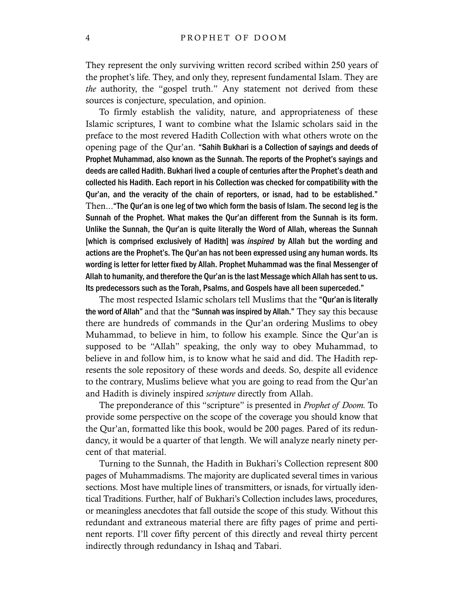They represent the only surviving written record scribed within 250 years of the prophet's life. They, and only they, represent fundamental Islam. They are *the* authority, the "gospel truth." Any statement not derived from these sources is conjecture, speculation, and opinion.

To firmly establish the validity, nature, and appropriateness of these Islamic scriptures, I want to combine what the Islamic scholars said in the preface to the most revered Hadith Collection with what others wrote on the opening page of the Qur'an. "Sahih Bukhari is a Collection of sayings and deeds of Prophet Muhammad, also known as the Sunnah. The reports of the Prophet's sayings and deeds are called Hadith. Bukhari lived a couple of centuries after the Prophet's death and collected his Hadith. Each report in his Collection was checked for compatibility with the Qur'an, and the veracity of the chain of reporters, or isnad, had to be established." Then..."The Qur'an is one leg of two which form the basis of Islam. The second leg is the Sunnah of the Prophet. What makes the Qur'an different from the Sunnah is its form. Unlike the Sunnah, the Qur'an is quite literally the Word of Allah, whereas the Sunnah [which is comprised exclusively of Hadith] was *inspired* by Allah but the wording and actions are the Prophet's. The Qur'an has not been expressed using any human words. Its wording is letter for letter fixed by Allah. Prophet Muhammad was the final Messenger of Allah to humanity, and therefore the Qur'an is the last Message which Allah has sent to us. Its predecessors such as the Torah, Psalms, and Gospels have all been superceded."

The most respected Islamic scholars tell Muslims that the "Qur'an is literally the word of Allah" and that the "Sunnah was inspired by Allah." They say this because there are hundreds of commands in the Qur'an ordering Muslims to obey Muhammad, to believe in him, to follow his example. Since the Qur'an is supposed to be "Allah" speaking, the only way to obey Muhammad, to believe in and follow him, is to know what he said and did. The Hadith represents the sole repository of these words and deeds. So, despite all evidence to the contrary, Muslims believe what you are going to read from the Qur'an and Hadith is divinely inspired *scripture* directly from Allah.

The preponderance of this "scripture" is presented in *Prophet of Doom.* To provide some perspective on the scope of the coverage you should know that the Qur'an, formatted like this book, would be 200 pages. Pared of its redundancy, it would be a quarter of that length. We will analyze nearly ninety percent of that material.

Turning to the Sunnah, the Hadith in Bukhari's Collection represent 800 pages of Muhammadisms. The majority are duplicated several times in various sections. Most have multiple lines of transmitters, or isnads, for virtually identical Traditions. Further, half of Bukhari's Collection includes laws, procedures, or meaningless anecdotes that fall outside the scope of this study. Without this redundant and extraneous material there are fifty pages of prime and pertinent reports. I'll cover fifty percent of this directly and reveal thirty percent indirectly through redundancy in Ishaq and Tabari.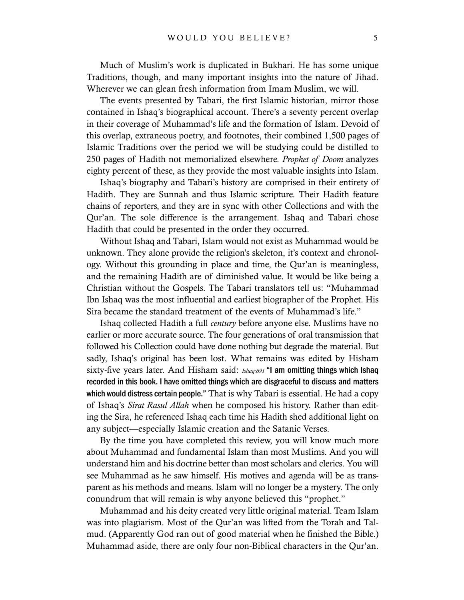Much of Muslim's work is duplicated in Bukhari. He has some unique Traditions, though, and many important insights into the nature of Jihad. Wherever we can glean fresh information from Imam Muslim, we will.

The events presented by Tabari, the first Islamic historian, mirror those contained in Ishaq's biographical account. There's a seventy percent overlap in their coverage of Muhammad's life and the formation of Islam. Devoid of this overlap, extraneous poetry, and footnotes, their combined 1,500 pages of Islamic Traditions over the period we will be studying could be distilled to 250 pages of Hadith not memorialized elsewhere. *Prophet of Doom* analyzes eighty percent of these, as they provide the most valuable insights into Islam.

Ishaq's biography and Tabari's history are comprised in their entirety of Hadith. They are Sunnah and thus Islamic scripture. Their Hadith feature chains of reporters, and they are in sync with other Collections and with the Qur'an. The sole difference is the arrangement. Ishaq and Tabari chose Hadith that could be presented in the order they occurred.

Without Ishaq and Tabari, Islam would not exist as Muhammad would be unknown. They alone provide the religion's skeleton, it's context and chronology. Without this grounding in place and time, the Qur'an is meaningless, and the remaining Hadith are of diminished value. It would be like being a Christian without the Gospels. The Tabari translators tell us: "Muhammad Ibn Ishaq was the most influential and earliest biographer of the Prophet. His Sira became the standard treatment of the events of Muhammad's life."

Ishaq collected Hadith a full *century* before anyone else. Muslims have no earlier or more accurate source. The four generations of oral transmission that followed his Collection could have done nothing but degrade the material. But sadly, Ishaq's original has been lost. What remains was edited by Hisham sixty-five years later. And Hisham said: *Ishaq:691* "I am omitting things which Ishaq recorded in this book. I have omitted things which are disgraceful to discuss and matters which would distress certain people." That is why Tabari is essential. He had a copy of Ishaq's *Sirat Rasul Allah* when he composed his history. Rather than editing the Sira, he referenced Ishaq each time his Hadith shed additional light on any subject—especially Islamic creation and the Satanic Verses.

By the time you have completed this review, you will know much more about Muhammad and fundamental Islam than most Muslims. And you will understand him and his doctrine better than most scholars and clerics. You will see Muhammad as he saw himself. His motives and agenda will be as transparent as his methods and means. Islam will no longer be a mystery. The only conundrum that will remain is why anyone believed this "prophet."

Muhammad and his deity created very little original material. Team Islam was into plagiarism. Most of the Qur'an was lifted from the Torah and Talmud. (Apparently God ran out of good material when he finished the Bible.) Muhammad aside, there are only four non-Biblical characters in the Qur'an.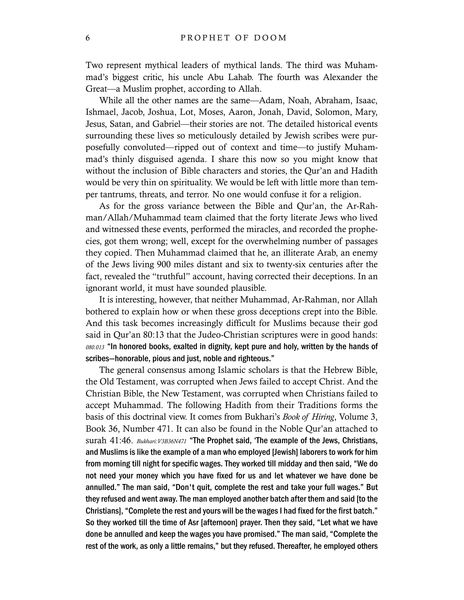Two represent mythical leaders of mythical lands. The third was Muhammad's biggest critic, his uncle Abu Lahab. The fourth was Alexander the Great—a Muslim prophet, according to Allah.

While all the other names are the same—Adam, Noah, Abraham, Isaac, Ishmael, Jacob, Joshua, Lot, Moses, Aaron, Jonah, David, Solomon, Mary, Jesus, Satan, and Gabriel—their stories are not. The detailed historical events surrounding these lives so meticulously detailed by Jewish scribes were purposefully convoluted—ripped out of context and time—to justify Muhammad's thinly disguised agenda. I share this now so you might know that without the inclusion of Bible characters and stories, the Qur'an and Hadith would be very thin on spirituality. We would be left with little more than temper tantrums, threats, and terror. No one would confuse it for a religion.

As for the gross variance between the Bible and Qur'an, the Ar-Rahman/Allah/Muhammad team claimed that the forty literate Jews who lived and witnessed these events, performed the miracles, and recorded the prophecies, got them wrong; well, except for the overwhelming number of passages they copied. Then Muhammad claimed that he, an illiterate Arab, an enemy of the Jews living 900 miles distant and six to twenty-six centuries after the fact, revealed the "truthful" account, having corrected their deceptions. In an ignorant world, it must have sounded plausible.

It is interesting, however, that neither Muhammad, Ar-Rahman, nor Allah bothered to explain how or when these gross deceptions crept into the Bible. And this task becomes increasingly difficult for Muslims because their god said in Qur'an 80:13 that the Judeo-Christian scriptures were in good hands: *080.013* "In honored books, exalted in dignity, kept pure and holy, written by the hands of scribes—honorable, pious and just, noble and righteous."

The general consensus among Islamic scholars is that the Hebrew Bible, the Old Testament, was corrupted when Jews failed to accept Christ. And the Christian Bible, the New Testament, was corrupted when Christians failed to accept Muhammad. The following Hadith from their Traditions forms the basis of this doctrinal view. It comes from Bukhari's *Book of Hiring*, Volume 3, Book 36, Number 471. It can also be found in the Noble Qur'an attached to surah 41:46. *Bukhari:V3B36N471* "The Prophet said, 'The example of the Jews, Christians, and Muslims is like the example of a man who employed [Jewish] laborers to work for him from morning till night for specific wages. They worked till midday and then said, "We do not need your money which you have fixed for us and let whatever we have done be annulled." The man said, "Don't quit, complete the rest and take your full wages." But they refused and went away. The man employed another batch after them and said [to the Christians], "Complete the rest and yours will be the wages I had fixed for the first batch." So they worked till the time of Asr [afternoon] prayer. Then they said, "Let what we have done be annulled and keep the wages you have promised." The man said, "Complete the rest of the work, as only a little remains," but they refused. Thereafter, he employed others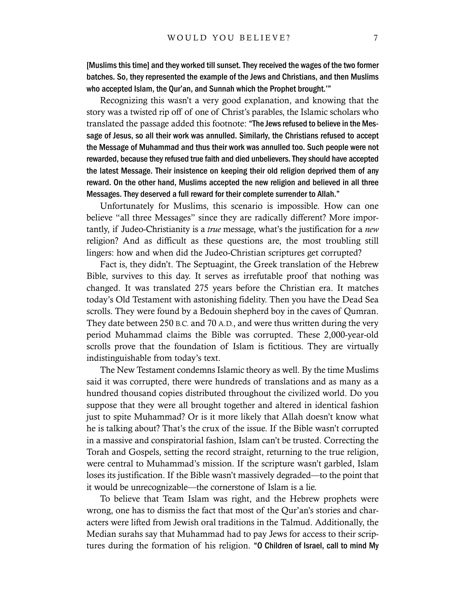[Muslims this time] and they worked till sunset. They received the wages of the two former batches. So, they represented the example of the Jews and Christians, and then Muslims who accepted Islam, the Qur'an, and Sunnah which the Prophet brought."

Recognizing this wasn't a very good explanation, and knowing that the story was a twisted rip off of one of Christ's parables, the Islamic scholars who translated the passage added this footnote: "The Jews refused to believe in the Message of Jesus, so all their work was annulled. Similarly, the Christians refused to accept the Message of Muhammad and thus their work was annulled too. Such people were not rewarded, because they refused true faith and died unbelievers. They should have accepted the latest Message. Their insistence on keeping their old religion deprived them of any reward. On the other hand, Muslims accepted the new religion and believed in all three Messages. They deserved a full reward for their complete surrender to Allah."

Unfortunately for Muslims, this scenario is impossible. How can one believe "all three Messages" since they are radically different? More importantly, if Judeo-Christianity is a *true* message, what's the justification for a *new* religion? And as difficult as these questions are, the most troubling still lingers: how and when did the Judeo-Christian scriptures get corrupted?

Fact is, they didn't. The Septuagint, the Greek translation of the Hebrew Bible, survives to this day. It serves as irrefutable proof that nothing was changed. It was translated 275 years before the Christian era. It matches today's Old Testament with astonishing fidelity. Then you have the Dead Sea scrolls. They were found by a Bedouin shepherd boy in the caves of Qumran. They date between 250 B.C. and 70 A.D., and were thus written during the very period Muhammad claims the Bible was corrupted. These 2,000-year-old scrolls prove that the foundation of Islam is fictitious. They are virtually indistinguishable from today's text.

The New Testament condemns Islamic theory as well. By the time Muslims said it was corrupted, there were hundreds of translations and as many as a hundred thousand copies distributed throughout the civilized world. Do you suppose that they were all brought together and altered in identical fashion just to spite Muhammad? Or is it more likely that Allah doesn't know what he is talking about? That's the crux of the issue. If the Bible wasn't corrupted in a massive and conspiratorial fashion, Islam can't be trusted. Correcting the Torah and Gospels, setting the record straight, returning to the true religion, were central to Muhammad's mission. If the scripture wasn't garbled, Islam loses its justification. If the Bible wasn't massively degraded—to the point that it would be unrecognizable—the cornerstone of Islam is a lie.

To believe that Team Islam was right, and the Hebrew prophets were wrong, one has to dismiss the fact that most of the Qur'an's stories and characters were lifted from Jewish oral traditions in the Talmud. Additionally, the Median surahs say that Muhammad had to pay Jews for access to their scriptures during the formation of his religion. "O Children of Israel, call to mind My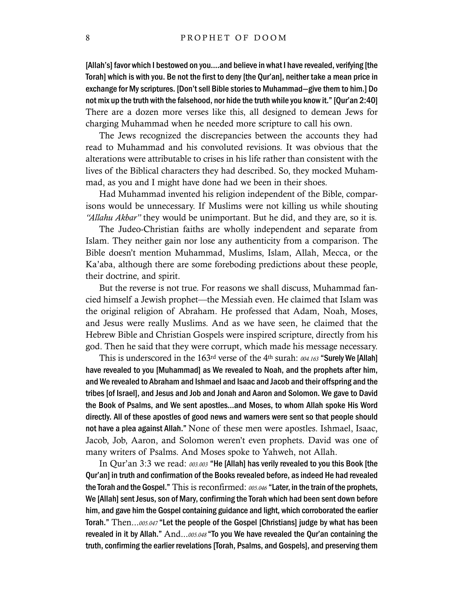[Allah's] favor which I bestowed on you….and believe in what I have revealed, verifying [the Torah] which is with you. Be not the first to deny [the Qur'an], neither take a mean price in exchange for My scriptures. [Don't sell Bible stories to Muhammad—give them to him.] Do not mix up the truth with the falsehood, nor hide the truth while you know it." [Qur'an 2:40] There are a dozen more verses like this, all designed to demean Jews for charging Muhammad when he needed more scripture to call his own.

The Jews recognized the discrepancies between the accounts they had read to Muhammad and his convoluted revisions. It was obvious that the alterations were attributable to crises in his life rather than consistent with the lives of the Biblical characters they had described. So, they mocked Muhammad, as you and I might have done had we been in their shoes.

Had Muhammad invented his religion independent of the Bible, comparisons would be unnecessary. If Muslims were not killing us while shouting *"Allahu Akbar"* they would be unimportant. But he did, and they are, so it is.

The Judeo-Christian faiths are wholly independent and separate from Islam. They neither gain nor lose any authenticity from a comparison. The Bible doesn't mention Muhammad, Muslims, Islam, Allah, Mecca, or the Ka'aba, although there are some foreboding predictions about these people, their doctrine, and spirit.

But the reverse is not true. For reasons we shall discuss, Muhammad fancied himself a Jewish prophet—the Messiah even. He claimed that Islam was the original religion of Abraham. He professed that Adam, Noah, Moses, and Jesus were really Muslims. And as we have seen, he claimed that the Hebrew Bible and Christian Gospels were inspired scripture, directly from his god. Then he said that they were corrupt, which made his message necessary.

This is underscored in the 163rd verse of the 4th surah: *004.163* "Surely We [Allah] have revealed to you [Muhammad] as We revealed to Noah, and the prophets after him, and We revealed to Abraham and Ishmael and Isaac and Jacob and their offspring and the tribes [of Israel], and Jesus and Job and Jonah and Aaron and Solomon. We gave to David the Book of Psalms, and We sent apostles…and Moses, to whom Allah spoke His Word directly. All of these apostles of good news and warners were sent so that people should not have a plea against Allah." None of these men were apostles. Ishmael, Isaac, Jacob, Job, Aaron, and Solomon weren't even prophets. David was one of many writers of Psalms. And Moses spoke to Yahweh, not Allah.

In Qur'an 3:3 we read: *003.003* "He [Allah] has verily revealed to you this Book [the Qur'an] in truth and confirmation of the Books revealed before, as indeed He had revealed the Torah and the Gospel." This is reconfirmed: *005.046* "Later, in the train of the prophets, We [Allah] sent Jesus, son of Mary, confirming the Torah which had been sent down before him, and gave him the Gospel containing guidance and light, which corroborated the earlier Torah." Then...*005.047* "Let the people of the Gospel [Christians] judge by what has been revealed in it by Allah." And...*005.048* "To you We have revealed the Qur'an containing the truth, confirming the earlier revelations [Torah, Psalms, and Gospels], and preserving them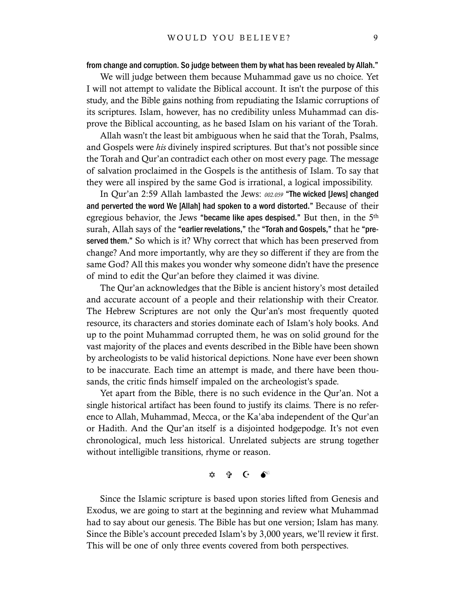## from change and corruption. So judge between them by what has been revealed by Allah."

We will judge between them because Muhammad gave us no choice. Yet I will not attempt to validate the Biblical account. It isn't the purpose of this study, and the Bible gains nothing from repudiating the Islamic corruptions of its scriptures. Islam, however, has no credibility unless Muhammad can disprove the Biblical accounting, as he based Islam on his variant of the Torah.

Allah wasn't the least bit ambiguous when he said that the Torah, Psalms, and Gospels were *his* divinely inspired scriptures. But that's not possible since the Torah and Qur'an contradict each other on most every page. The message of salvation proclaimed in the Gospels is the antithesis of Islam. To say that they were all inspired by the same God is irrational, a logical impossibility.

In Qur'an 2:59 Allah lambasted the Jews: *002.059* "The wicked [Jews] changed and perverted the word We [Allah] had spoken to a word distorted." Because of their egregious behavior, the Jews "became like apes despised." But then, in the 5<sup>th</sup> surah, Allah says of the "earlier revelations," the "Torah and Gospels," that he "preserved them." So which is it? Why correct that which has been preserved from change? And more importantly, why are they so different if they are from the same God? All this makes you wonder why someone didn't have the presence of mind to edit the Qur'an before they claimed it was divine.

The Qur'an acknowledges that the Bible is ancient history's most detailed and accurate account of a people and their relationship with their Creator. The Hebrew Scriptures are not only the Qur'an's most frequently quoted resource, its characters and stories dominate each of Islam's holy books. And up to the point Muhammad corrupted them, he was on solid ground for the vast majority of the places and events described in the Bible have been shown by archeologists to be valid historical depictions. None have ever been shown to be inaccurate. Each time an attempt is made, and there have been thousands, the critic finds himself impaled on the archeologist's spade.

Yet apart from the Bible, there is no such evidence in the Qur'an. Not a single historical artifact has been found to justify its claims. There is no reference to Allah, Muhammad, Mecca, or the Ka'aba independent of the Qur'an or Hadith. And the Qur'an itself is a disjointed hodgepodge. It's not even chronological, much less historical. Unrelated subjects are strung together without intelligible transitions, rhyme or reason.

**众 中 C 6<sup>%</sup>** 

Since the Islamic scripture is based upon stories lifted from Genesis and Exodus, we are going to start at the beginning and review what Muhammad had to say about our genesis. The Bible has but one version; Islam has many. Since the Bible's account preceded Islam's by 3,000 years, we'll review it first. This will be one of only three events covered from both perspectives.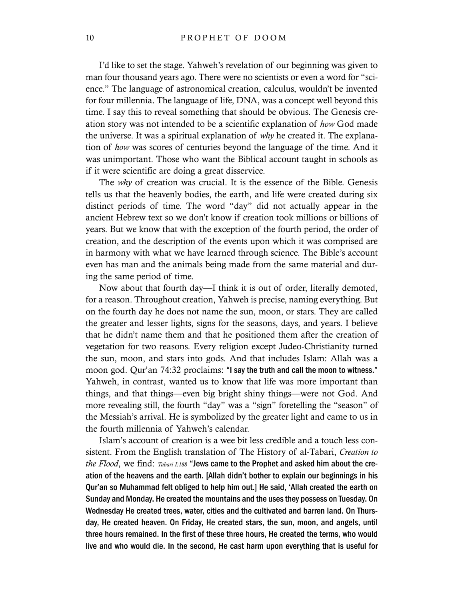I'd like to set the stage. Yahweh's revelation of our beginning was given to man four thousand years ago. There were no scientists or even a word for "science." The language of astronomical creation, calculus, wouldn't be invented for four millennia. The language of life, DNA, was a concept well beyond this time. I say this to reveal something that should be obvious. The Genesis creation story was not intended to be a scientific explanation of *how* God made the universe. It was a spiritual explanation of *why* he created it. The explanation of *how* was scores of centuries beyond the language of the time. And it was unimportant. Those who want the Biblical account taught in schools as if it were scientific are doing a great disservice.

The *why* of creation was crucial. It is the essence of the Bible. Genesis tells us that the heavenly bodies, the earth, and life were created during six distinct periods of time. The word "day" did not actually appear in the ancient Hebrew text so we don't know if creation took millions or billions of years. But we know that with the exception of the fourth period, the order of creation, and the description of the events upon which it was comprised are in harmony with what we have learned through science. The Bible's account even has man and the animals being made from the same material and during the same period of time.

Now about that fourth day—I think it is out of order, literally demoted, for a reason. Throughout creation, Yahweh is precise, naming everything. But on the fourth day he does not name the sun, moon, or stars. They are called the greater and lesser lights, signs for the seasons, days, and years. I believe that he didn't name them and that he positioned them after the creation of vegetation for two reasons. Every religion except Judeo-Christianity turned the sun, moon, and stars into gods. And that includes Islam: Allah was a moon god. Qur'an 74:32 proclaims: "I say the truth and call the moon to witness." Yahweh, in contrast, wanted us to know that life was more important than things, and that things—even big bright shiny things—were not God. And more revealing still, the fourth "day" was a "sign" foretelling the "season" of the Messiah's arrival. He is symbolized by the greater light and came to us in the fourth millennia of Yahweh's calendar.

Islam's account of creation is a wee bit less credible and a touch less consistent. From the English translation of The History of al-Tabari, *Creation to the Flood*, we find: *Tabari I:188* "Jews came to the Prophet and asked him about the creation of the heavens and the earth. [Allah didn't bother to explain our beginnings in his Qur'an so Muhammad felt obliged to help him out.] He said, 'Allah created the earth on Sunday and Monday. He created the mountains and the uses they possess on Tuesday. On Wednesday He created trees, water, cities and the cultivated and barren land. On Thursday, He created heaven. On Friday, He created stars, the sun, moon, and angels, until three hours remained. In the first of these three hours, He created the terms, who would live and who would die. In the second, He cast harm upon everything that is useful for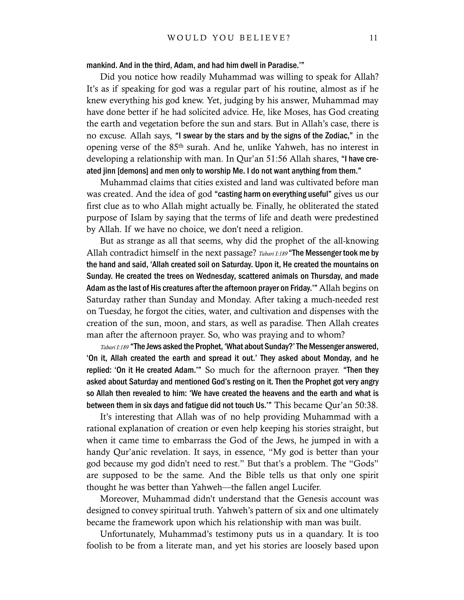mankind. And in the third, Adam, and had him dwell in Paradise.'"

Did you notice how readily Muhammad was willing to speak for Allah? It's as if speaking for god was a regular part of his routine, almost as if he knew everything his god knew. Yet, judging by his answer, Muhammad may have done better if he had solicited advice. He, like Moses, has God creating the earth and vegetation before the sun and stars. But in Allah's case, there is no excuse. Allah says, "I swear by the stars and by the signs of the Zodiac," in the opening verse of the 85th surah. And he, unlike Yahweh, has no interest in developing a relationship with man. In Qur'an 51:56 Allah shares, "I have created jinn [demons] and men only to worship Me. I do not want anything from them."

Muhammad claims that cities existed and land was cultivated before man was created. And the idea of god "casting harm on everything useful" gives us our first clue as to who Allah might actually be. Finally, he obliterated the stated purpose of Islam by saying that the terms of life and death were predestined by Allah. If we have no choice, we don't need a religion.

But as strange as all that seems, why did the prophet of the all-knowing Allah contradict himself in the next passage? *Tabari I:189* "The Messenger took me by the hand and said, 'Allah created soil on Saturday. Upon it, He created the mountains on Sunday. He created the trees on Wednesday, scattered animals on Thursday, and made Adam as the last of His creatures after the afternoon prayer on Friday.'" Allah begins on Saturday rather than Sunday and Monday. After taking a much-needed rest on Tuesday, he forgot the cities, water, and cultivation and dispenses with the creation of the sun, moon, and stars, as well as paradise. Then Allah creates man after the afternoon prayer. So, who was praying and to whom?

*Tabari I:189* "The Jews asked the Prophet, 'What about Sunday?' The Messenger answered, 'On it, Allah created the earth and spread it out.' They asked about Monday, and he replied: 'On it He created Adam.'" So much for the afternoon prayer. "Then they asked about Saturday and mentioned God's resting on it. Then the Prophet got very angry so Allah then revealed to him: 'We have created the heavens and the earth and what is between them in six days and fatigue did not touch Us.'" This became Qur'an 50:38.

It's interesting that Allah was of no help providing Muhammad with a rational explanation of creation or even help keeping his stories straight, but when it came time to embarrass the God of the Jews, he jumped in with a handy Qur'anic revelation. It says, in essence, "My god is better than your god because my god didn't need to rest." But that's a problem. The "Gods" are supposed to be the same. And the Bible tells us that only one spirit thought he was better than Yahweh—the fallen angel Lucifer.

Moreover, Muhammad didn't understand that the Genesis account was designed to convey spiritual truth. Yahweh's pattern of six and one ultimately became the framework upon which his relationship with man was built.

Unfortunately, Muhammad's testimony puts us in a quandary. It is too foolish to be from a literate man, and yet his stories are loosely based upon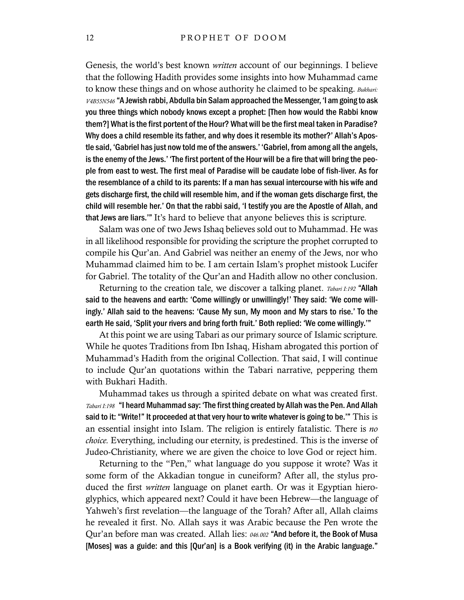Genesis, the world's best known *written* account of our beginnings. I believe that the following Hadith provides some insights into how Muhammad came to know these things and on whose authority he claimed to be speaking. *Bukhari: V4B55N546* "A Jewish rabbi, Abdulla bin Salam approached the Messenger, 'I am going to ask you three things which nobody knows except a prophet: [Then how would the Rabbi know them?] What is the first portent of the Hour? What will be the first meal taken in Paradise? Why does a child resemble its father, and why does it resemble its mother?' Allah's Apostle said, 'Gabriel has just now told me of the answers.' 'Gabriel, from among all the angels, is the enemy of the Jews.' 'The first portent of the Hour will be a fire that will bring the people from east to west. The first meal of Paradise will be caudate lobe of fish-liver. As for the resemblance of a child to its parents: If a man has sexual intercourse with his wife and gets discharge first, the child will resemble him, and if the woman gets discharge first, the child will resemble her.' On that the rabbi said, 'I testify you are the Apostle of Allah, and that Jews are liars.'" It's hard to believe that anyone believes this is scripture.

Salam was one of two Jews Ishaq believes sold out to Muhammad. He was in all likelihood responsible for providing the scripture the prophet corrupted to compile his Qur'an. And Gabriel was neither an enemy of the Jews, nor who Muhammad claimed him to be. I am certain Islam's prophet mistook Lucifer for Gabriel. The totality of the Qur'an and Hadith allow no other conclusion.

Returning to the creation tale, we discover a talking planet. *Tabari I:192* "Allah said to the heavens and earth: 'Come willingly or unwillingly!' They said: 'We come willingly.' Allah said to the heavens: 'Cause My sun, My moon and My stars to rise.' To the earth He said, 'Split your rivers and bring forth fruit.' Both replied: 'We come willingly.'"

At this point we are using Tabari as our primary source of Islamic scripture. While he quotes Traditions from Ibn Ishaq, Hisham abrogated this portion of Muhammad's Hadith from the original Collection. That said, I will continue to include Qur'an quotations within the Tabari narrative, peppering them with Bukhari Hadith.

Muhammad takes us through a spirited debate on what was created first. *Tabari I:198* "I heard Muhammad say: 'The first thing created by Allah was the Pen. And Allah said to it: "Write!" It proceeded at that very hour to write whatever is going to be.'" This is an essential insight into Islam. The religion is entirely fatalistic. There is *no choice.* Everything, including our eternity, is predestined. This is the inverse of Judeo-Christianity, where we are given the choice to love God or reject him.

Returning to the "Pen," what language do you suppose it wrote? Was it some form of the Akkadian tongue in cuneiform? After all, the stylus produced the first *written* language on planet earth. Or was it Egyptian hieroglyphics, which appeared next? Could it have been Hebrew—the language of Yahweh's first revelation—the language of the Torah? After all, Allah claims he revealed it first. No. Allah says it was Arabic because the Pen wrote the Qur'an before man was created. Allah lies: *046.002* "And before it, the Book of Musa [Moses] was a guide: and this [Qur'an] is a Book verifying (it) in the Arabic language."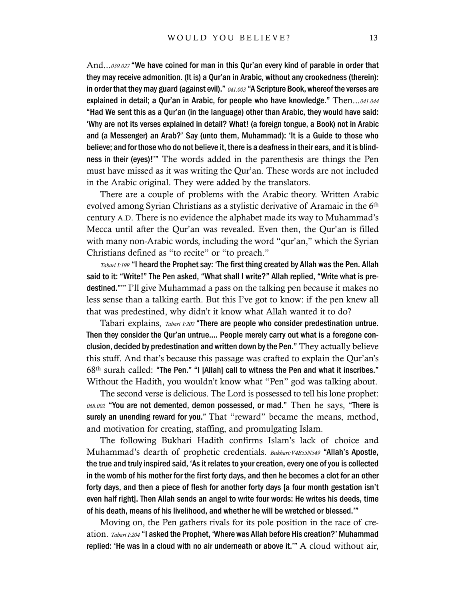And...*039.027* "We have coined for man in this Qur'an every kind of parable in order that they may receive admonition. (It is) a Qur'an in Arabic, without any crookedness (therein): in order that they may guard (against evil)." *041.003* "A Scripture Book, whereof the verses are explained in detail; a Qur'an in Arabic, for people who have knowledge." Then...*041.044* "Had We sent this as a Qur'an (in the language) other than Arabic, they would have said: 'Why are not its verses explained in detail? What! (a foreign tongue, a Book) not in Arabic and (a Messenger) an Arab?' Say (unto them, Muhammad): 'It is a Guide to those who believe; and for those who do not believe it, there is a deafness in their ears, and it is blindness in their (eyes)!'" The words added in the parenthesis are things the Pen must have missed as it was writing the Qur'an. These words are not included in the Arabic original. They were added by the translators.

There are a couple of problems with the Arabic theory. Written Arabic evolved among Syrian Christians as a stylistic derivative of Aramaic in the 6th century A.D. There is no evidence the alphabet made its way to Muhammad's Mecca until after the Qur'an was revealed. Even then, the Qur'an is filled with many non-Arabic words, including the word "qur'an," which the Syrian Christians defined as "to recite" or "to preach."

*Tabari I:199* "I heard the Prophet say: 'The first thing created by Allah was the Pen. Allah said to it: "Write!" The Pen asked, "What shall I write?" Allah replied, "Write what is predestined."'" I'll give Muhammad a pass on the talking pen because it makes no less sense than a talking earth. But this I've got to know: if the pen knew all that was predestined, why didn't it know what Allah wanted it to do?

Tabari explains, *Tabari I:202* "There are people who consider predestination untrue. Then they consider the Qur'an untrue…. People merely carry out what is a foregone conclusion, decided by predestination and written down by the Pen." They actually believe this stuff. And that's because this passage was crafted to explain the Qur'an's 68th surah called: "The Pen." "I [Allah] call to witness the Pen and what it inscribes." Without the Hadith, you wouldn't know what "Pen" god was talking about.

The second verse is delicious. The Lord is possessed to tell his lone prophet: *068.002* "You are not demented, demon possessed, or mad." Then he says, "There is surely an unending reward for you." That "reward" became the means, method, and motivation for creating, staffing, and promulgating Islam.

The following Bukhari Hadith confirms Islam's lack of choice and Muhammad's dearth of prophetic credentials. *Bukhari:V4B55N549* "Allah's Apostle, the true and truly inspired said, 'As it relates to your creation, every one of you is collected in the womb of his mother for the first forty days, and then he becomes a clot for an other forty days, and then a piece of flesh for another forty days [a four month gestation isn't even half right]. Then Allah sends an angel to write four words: He writes his deeds, time of his death, means of his livelihood, and whether he will be wretched or blessed.'"

Moving on, the Pen gathers rivals for its pole position in the race of creation. *Tabari I:204* "I asked the Prophet, 'Where was Allah before His creation?' Muhammad replied: 'He was in a cloud with no air underneath or above it.'" A cloud without air,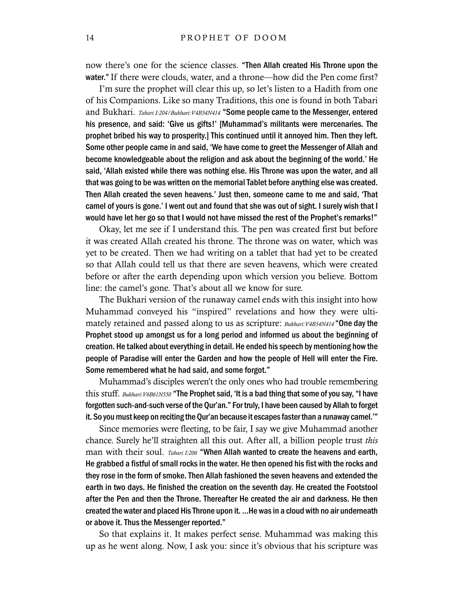now there's one for the science classes. "Then Allah created His Throne upon the water." If there were clouds, water, and a throne—how did the Pen come first?

I'm sure the prophet will clear this up, so let's listen to a Hadith from one of his Companions. Like so many Traditions, this one is found in both Tabari and Bukhari. *Tabari I:204/Bukhari:V4B54N414* "Some people came to the Messenger, entered his presence, and said: 'Give us gifts!' [Muhammad's militants were mercenaries. The prophet bribed his way to prosperity.] This continued until it annoyed him. Then they left. Some other people came in and said, 'We have come to greet the Messenger of Allah and become knowledgeable about the religion and ask about the beginning of the world.' He said, 'Allah existed while there was nothing else. His Throne was upon the water, and all that was going to be was written on the memorial Tablet before anything else was created. Then Allah created the seven heavens.' Just then, someone came to me and said, 'That camel of yours is gone.' I went out and found that she was out of sight. I surely wish that I would have let her go so that I would not have missed the rest of the Prophet's remarks!"

Okay, let me see if I understand this. The pen was created first but before it was created Allah created his throne. The throne was on water, which was yet to be created. Then we had writing on a tablet that had yet to be created so that Allah could tell us that there are seven heavens, which were created before or after the earth depending upon which version you believe. Bottom line: the camel's gone. That's about all we know for sure.

The Bukhari version of the runaway camel ends with this insight into how Muhammad conveyed his "inspired" revelations and how they were ultimately retained and passed along to us as scripture: *Bukhari:V4B54N414* "One day the Prophet stood up amongst us for a long period and informed us about the beginning of creation. He talked about everything in detail. He ended his speech by mentioning how the people of Paradise will enter the Garden and how the people of Hell will enter the Fire. Some remembered what he had said, and some forgot."

Muhammad's disciples weren't the only ones who had trouble remembering this stuff. *Bukhari:V6B61N550* "The Prophet said, 'It is a bad thing that some of you say, "I have forgotten such-and-such verse of the Qur'an." For truly, I have been caused by Allah to forget it. So you must keep on reciting the Qur'an because it escapes faster than a runaway camel.'"

Since memories were fleeting, to be fair, I say we give Muhammad another chance. Surely he'll straighten all this out. After all, a billion people trust *this* man with their soul. *Tabari I:206* "When Allah wanted to create the heavens and earth, He grabbed a fistful of small rocks in the water. He then opened his fist with the rocks and they rose in the form of smoke. Then Allah fashioned the seven heavens and extended the earth in two days. He finished the creation on the seventh day. He created the Footstool after the Pen and then the Throne. Thereafter He created the air and darkness. He then created the water and placed His Throne upon it. …He was in a cloud with no air underneath or above it. Thus the Messenger reported."

So that explains it. It makes perfect sense. Muhammad was making this up as he went along. Now, I ask you: since it's obvious that his scripture was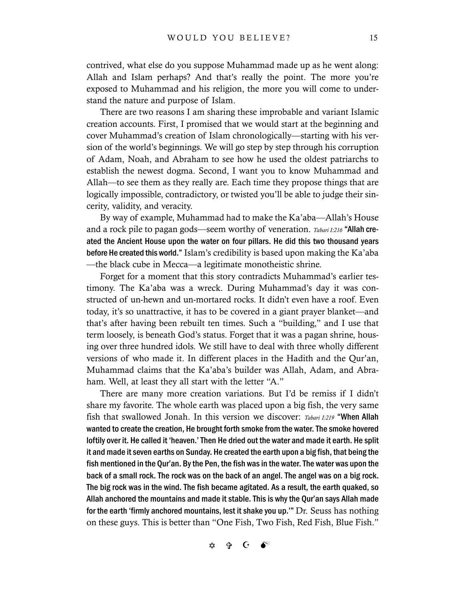contrived, what else do you suppose Muhammad made up as he went along: Allah and Islam perhaps? And that's really the point. The more you're exposed to Muhammad and his religion, the more you will come to understand the nature and purpose of Islam.

There are two reasons I am sharing these improbable and variant Islamic creation accounts. First, I promised that we would start at the beginning and cover Muhammad's creation of Islam chronologically—starting with his version of the world's beginnings. We will go step by step through his corruption of Adam, Noah, and Abraham to see how he used the oldest patriarchs to establish the newest dogma. Second, I want you to know Muhammad and Allah—to see them as they really are. Each time they propose things that are logically impossible, contradictory, or twisted you'll be able to judge their sincerity, validity, and veracity.

By way of example, Muhammad had to make the Ka'aba—Allah's House and a rock pile to pagan gods—seem worthy of veneration. *Tabari I:216* "Allah created the Ancient House upon the water on four pillars. He did this two thousand years before He created this world." Islam's credibility is based upon making the Ka'aba —the black cube in Mecca—a legitimate monotheistic shrine.

Forget for a moment that this story contradicts Muhammad's earlier testimony. The Ka'aba was a wreck. During Muhammad's day it was constructed of un-hewn and un-mortared rocks. It didn't even have a roof. Even today, it's so unattractive, it has to be covered in a giant prayer blanket—and that's after having been rebuilt ten times. Such a "building," and I use that term loosely, is beneath God's status. Forget that it was a pagan shrine, housing over three hundred idols. We still have to deal with three wholly different versions of who made it. In different places in the Hadith and the Qur'an, Muhammad claims that the Ka'aba's builder was Allah, Adam, and Abraham. Well, at least they all start with the letter "A."

There are many more creation variations. But I'd be remiss if I didn't share my favorite. The whole earth was placed upon a big fish, the very same fish that swallowed Jonah. In this version we discover: *Tabari I:219* "When Allah wanted to create the creation, He brought forth smoke from the water. The smoke hovered loftily over it. He called it 'heaven.' Then He dried out the water and made it earth. He split it and made it seven earths on Sunday. He created the earth upon a big fish, that being the fish mentioned in the Qur'an. By the Pen, the fish was in the water. The water was upon the back of a small rock. The rock was on the back of an angel. The angel was on a big rock. The big rock was in the wind. The fish became agitated. As a result, the earth quaked, so Allah anchored the mountains and made it stable. This is why the Qur'an says Allah made for the earth 'firmly anchored mountains, lest it shake you up.'" Dr. Seuss has nothing on these guys. This is better than "One Fish, Two Fish, Red Fish, Blue Fish."

 $\mathsf{G}\mathsf{F}$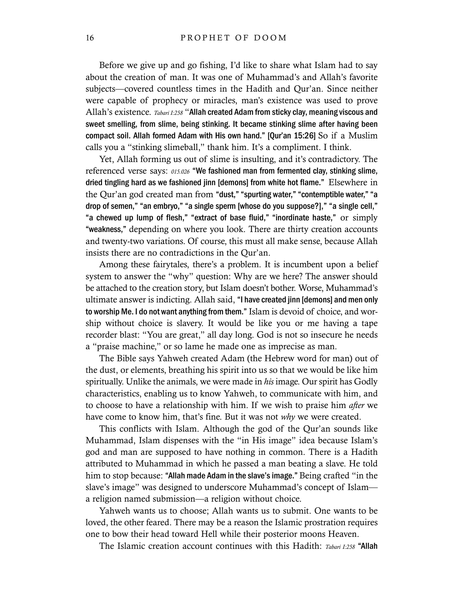Before we give up and go fishing, I'd like to share what Islam had to say about the creation of man. It was one of Muhammad's and Allah's favorite subjects—covered countless times in the Hadith and Qur'an. Since neither were capable of prophecy or miracles, man's existence was used to prove Allah's existence. *Tabari I:258* "Allah created Adam from sticky clay, meaning viscous and sweet smelling, from slime, being stinking. It became stinking slime after having been compact soil. Allah formed Adam with His own hand." [Qur'an 15:26] So if a Muslim calls you a "stinking slimeball," thank him. It's a compliment. I think.

Yet, Allah forming us out of slime is insulting, and it's contradictory. The referenced verse says: *015.026* "We fashioned man from fermented clay, stinking slime, dried tingling hard as we fashioned jinn [demons] from white hot flame." Elsewhere in the Qur'an god created man from "dust," "spurting water," "contemptible water," "a drop of semen," "an embryo," "a single sperm [whose do you suppose?]," "a single cell," "a chewed up lump of flesh," "extract of base fluid," "inordinate haste," or simply "weakness," depending on where you look. There are thirty creation accounts and twenty-two variations. Of course, this must all make sense, because Allah insists there are no contradictions in the Qur'an.

Among these fairytales, there's a problem. It is incumbent upon a belief system to answer the "why" question: Why are we here? The answer should be attached to the creation story, but Islam doesn't bother. Worse, Muhammad's ultimate answer is indicting. Allah said, "I have created jinn [demons] and men only to worship Me. I do not want anything from them." Islam is devoid of choice, and worship without choice is slavery. It would be like you or me having a tape recorder blast: "You are great," all day long. God is not so insecure he needs a "praise machine," or so lame he made one as imprecise as man.

The Bible says Yahweh created Adam (the Hebrew word for man) out of the dust, or elements, breathing his spirit into us so that we would be like him spiritually. Unlike the animals, we were made in *his* image. Our spirit has Godly characteristics, enabling us to know Yahweh, to communicate with him, and to choose to have a relationship with him. If we wish to praise him *after* we have come to know him, that's fine. But it was not *why* we were created.

This conflicts with Islam. Although the god of the Qur'an sounds like Muhammad, Islam dispenses with the "in His image" idea because Islam's god and man are supposed to have nothing in common. There is a Hadith attributed to Muhammad in which he passed a man beating a slave. He told him to stop because: "Allah made Adam in the slave's image." Being crafted "in the slave's image" was designed to underscore Muhammad's concept of Islam a religion named submission—a religion without choice.

Yahweh wants us to choose; Allah wants us to submit. One wants to be loved, the other feared. There may be a reason the Islamic prostration requires one to bow their head toward Hell while their posterior moons Heaven.

The Islamic creation account continues with this Hadith: *Tabari I:258* "Allah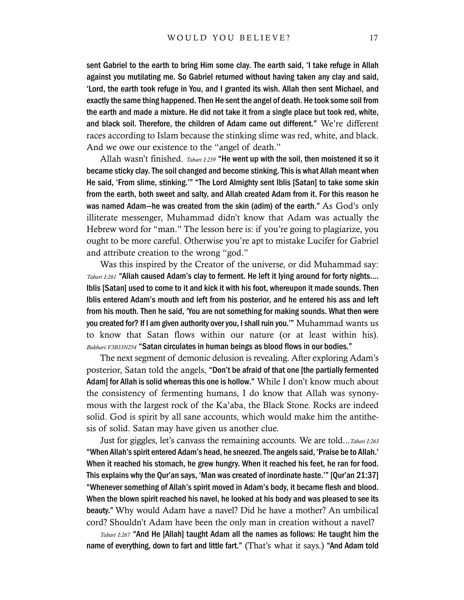sent Gabriel to the earth to bring Him some clay. The earth said, 'I take refuge in Allah against you mutilating me. So Gabriel returned without having taken any clay and said, 'Lord, the earth took refuge in You, and I granted its wish. Allah then sent Michael, and exactly the same thing happened. Then He sent the angel of death. He took some soil from the earth and made a mixture. He did not take it from a single place but took red, white, and black soil. Therefore, the children of Adam came out different." We're different races according to Islam because the stinking slime was red, white, and black. And we owe our existence to the "angel of death."

Allah wasn't finished. *Tabari I:259* "He went up with the soil, then moistened it so it became sticky clay. The soil changed and become stinking. This is what Allah meant when He said, 'From slime, stinking.'" "The Lord Almighty sent Iblis [Satan] to take some skin from the earth, both sweet and salty, and Allah created Adam from it. For this reason he was named Adam—he was created from the skin (adim) of the earth." As God's only illiterate messenger, Muhammad didn't know that Adam was actually the Hebrew word for "man." The lesson here is: if you're going to plagiarize, you ought to be more careful. Otherwise you're apt to mistake Lucifer for Gabriel and attribute creation to the wrong "god."

Was this inspired by the Creator of the universe, or did Muhammad say: *Tabari I:261* "Allah caused Adam's clay to ferment. He left it lying around for forty nights.… Iblis [Satan] used to come to it and kick it with his foot, whereupon it made sounds. Then Iblis entered Adam's mouth and left from his posterior, and he entered his ass and left from his mouth. Then he said, 'You are not something for making sounds. What then were you created for? If I am given authority over you, I shall ruin you.'" Muhammad wants us to know that Satan flows within our nature (or at least within his). *Bukhari:V3B33N254* "Satan circulates in human beings as blood flows in our bodies."

The next segment of demonic delusion is revealing. After exploring Adam's posterior, Satan told the angels, "Don't be afraid of that one [the partially fermented Adam] for Allah is solid whereas this one is hollow." While I don't know much about the consistency of fermenting humans, I do know that Allah was synonymous with the largest rock of the Ka'aba, the Black Stone. Rocks are indeed solid. God is spirit by all sane accounts, which would make him the antithesis of solid. Satan may have given us another clue.

Just for giggles, let's canvass the remaining accounts. We are told...*Tabari I:263* "When Allah's spirit entered Adam's head, he sneezed. The angels said, 'Praise be to Allah.' When it reached his stomach, he grew hungry. When it reached his feet, he ran for food. This explains why the Qur'an says, 'Man was created of inordinate haste.'" [Qur'an 21:37] "Whenever something of Allah's spirit moved in Adam's body, it became flesh and blood. When the blown spirit reached his navel, he looked at his body and was pleased to see its beauty." Why would Adam have a navel? Did he have a mother? An umbilical cord? Shouldn't Adam have been the only man in creation without a navel?

*Tabari I:267* "And He [Allah] taught Adam all the names as follows: He taught him the name of everything, down to fart and little fart." (That's what it says.) "And Adam told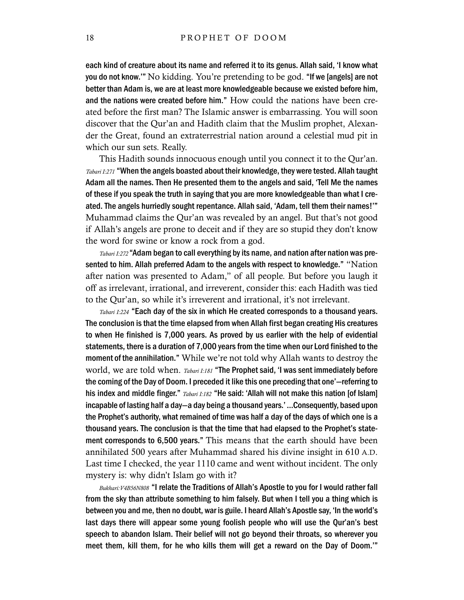each kind of creature about its name and referred it to its genus. Allah said, 'I know what you do not know.'" No kidding. You're pretending to be god. "If we [angels] are not better than Adam is, we are at least more knowledgeable because we existed before him, and the nations were created before him." How could the nations have been created before the first man? The Islamic answer is embarrassing. You will soon discover that the Qur'an and Hadith claim that the Muslim prophet, Alexander the Great, found an extraterrestrial nation around a celestial mud pit in which our sun sets. Really.

This Hadith sounds innocuous enough until you connect it to the Qur'an. *Tabari I:271* "When the angels boasted about their knowledge, they were tested. Allah taught Adam all the names. Then He presented them to the angels and said, 'Tell Me the names of these if you speak the truth in saying that you are more knowledgeable than what I created. The angels hurriedly sought repentance. Allah said, 'Adam, tell them their names!'" Muhammad claims the Qur'an was revealed by an angel. But that's not good if Allah's angels are prone to deceit and if they are so stupid they don't know the word for swine or know a rock from a god.

*Tabari I:272* "Adam began to call everything by its name, and nation after nation was presented to him. Allah preferred Adam to the angels with respect to knowledge." "Nation after nation was presented to Adam," of all people. But before you laugh it off as irrelevant, irrational, and irreverent, consider this: each Hadith was tied to the Qur'an, so while it's irreverent and irrational, it's not irrelevant.

*Tabari I:224* "Each day of the six in which He created corresponds to a thousand years. The conclusion is that the time elapsed from when Allah first began creating His creatures to when He finished is 7,000 years. As proved by us earlier with the help of evidential statements, there is a duration of 7,000 years from the time when our Lord finished to the moment of the annihilation." While we're not told why Allah wants to destroy the world, we are told when. *Tabari I:181* "The Prophet said, 'I was sent immediately before the coming of the Day of Doom. I preceded it like this one preceding that one'—referring to his index and middle finger." *Tabari I:182* "He said: 'Allah will not make this nation [of Islam] incapable of lasting half a day—a day being a thousand years.' …Consequently, based upon the Prophet's authority, what remained of time was half a day of the days of which one is a thousand years. The conclusion is that the time that had elapsed to the Prophet's statement corresponds to 6,500 years." This means that the earth should have been annihilated 500 years after Muhammad shared his divine insight in 610 A.D. Last time I checked, the year 1110 came and went without incident. The only mystery is: why didn't Islam go with it?

*Bukhari:V4B56N808* "I relate the Traditions of Allah's Apostle to you for I would rather fall from the sky than attribute something to him falsely. But when I tell you a thing which is between you and me, then no doubt, war is guile. I heard Allah's Apostle say, 'In the world's last days there will appear some young foolish people who will use the Qur'an's best speech to abandon Islam. Their belief will not go beyond their throats, so wherever you meet them, kill them, for he who kills them will get a reward on the Day of Doom.'"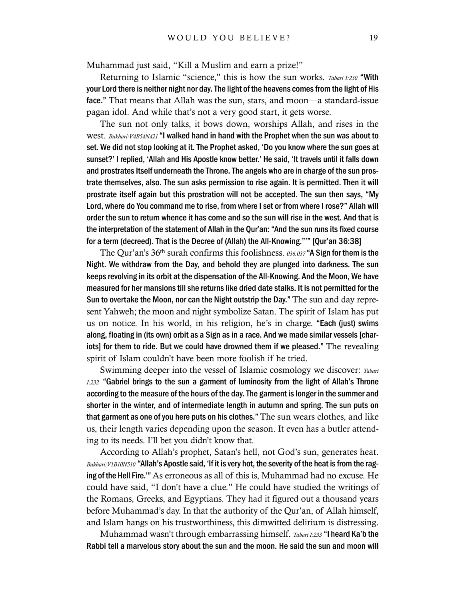Muhammad just said, "Kill a Muslim and earn a prize!"

Returning to Islamic "science," this is how the sun works. *Tabari I:230* "With your Lord there is neither night nor day. The light of the heavens comes from the light of His face." That means that Allah was the sun, stars, and moon—a standard-issue pagan idol. And while that's not a very good start, it gets worse.

The sun not only talks, it bows down, worships Allah, and rises in the west. *Bukhari:V4B54N421* "I walked hand in hand with the Prophet when the sun was about to set. We did not stop looking at it. The Prophet asked, 'Do you know where the sun goes at sunset?' I replied, 'Allah and His Apostle know better.' He said, 'It travels until it falls down and prostrates Itself underneath the Throne. The angels who are in charge of the sun prostrate themselves, also. The sun asks permission to rise again. It is permitted. Then it will prostrate itself again but this prostration will not be accepted. The sun then says, "My Lord, where do You command me to rise, from where I set or from where I rose?" Allah will order the sun to return whence it has come and so the sun will rise in the west. And that is the interpretation of the statement of Allah in the Qur'an: "And the sun runs its fixed course for a term (decreed). That is the Decree of (Allah) the All-Knowing."'" [Qur'an 36:38]

The Qur'an's 36th surah confirms this foolishness. *036.037* "A Sign for them is the Night. We withdraw from the Day, and behold they are plunged into darkness. The sun keeps revolving in its orbit at the dispensation of the All-Knowing. And the Moon, We have measured for her mansions till she returns like dried date stalks. It is not permitted for the Sun to overtake the Moon, nor can the Night outstrip the Day." The sun and day represent Yahweh; the moon and night symbolize Satan. The spirit of Islam has put us on notice. In his world, in his religion, he's in charge. "Each (just) swims along, floating in (its own) orbit as a Sign as in a race. And we made similar vessels [chariots] for them to ride. But we could have drowned them if we pleased." The revealing spirit of Islam couldn't have been more foolish if he tried.

Swimming deeper into the vessel of Islamic cosmology we discover: *Tabari I:232* "Gabriel brings to the sun a garment of luminosity from the light of Allah's Throne according to the measure of the hours of the day. The garment is longer in the summer and shorter in the winter, and of intermediate length in autumn and spring. The sun puts on that garment as one of you here puts on his clothes." The sun wears clothes, and like us, their length varies depending upon the season. It even has a butler attending to its needs. I'll bet you didn't know that.

According to Allah's prophet, Satan's hell, not God's sun, generates heat. *Bukhari:V1B10N510* "Allah's Apostle said, 'If it is very hot, the severity of the heat is from the raging of the Hell Fire.'" As erroneous as all of this is, Muhammad had no excuse. He could have said, "I don't have a clue." He could have studied the writings of the Romans, Greeks, and Egyptians. They had it figured out a thousand years before Muhammad's day. In that the authority of the Qur'an, of Allah himself, and Islam hangs on his trustworthiness, this dimwitted delirium is distressing.

Muhammad wasn't through embarrassing himself. *Tabari I:233* "I heard Ka'b the Rabbi tell a marvelous story about the sun and the moon. He said the sun and moon will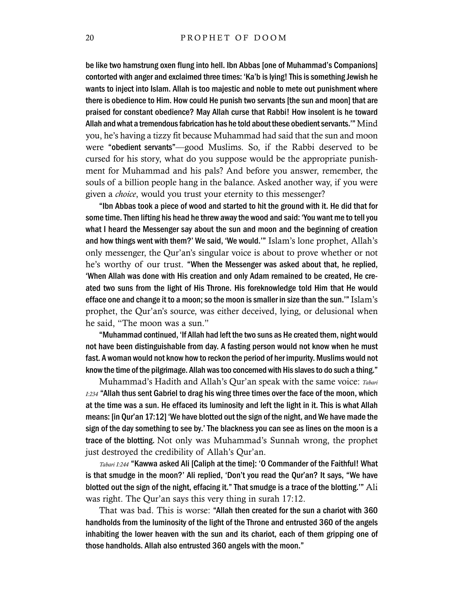be like two hamstrung oxen flung into hell. Ibn Abbas [one of Muhammad's Companions] contorted with anger and exclaimed three times: 'Ka'b is lying! This is something Jewish he wants to inject into Islam. Allah is too majestic and noble to mete out punishment where there is obedience to Him. How could He punish two servants [the sun and moon] that are praised for constant obedience? May Allah curse that Rabbi! How insolent is he toward Allah and what a tremendous fabrication has he told about these obedient servants.'" Mind you, he's having a tizzy fit because Muhammad had said that the sun and moon were "obedient servants"—good Muslims. So, if the Rabbi deserved to be cursed for his story, what do you suppose would be the appropriate punishment for Muhammad and his pals? And before you answer, remember, the souls of a billion people hang in the balance. Asked another way, if you were given a *choice*, would you trust your eternity to this messenger?

"Ibn Abbas took a piece of wood and started to hit the ground with it. He did that for some time. Then lifting his head he threw away the wood and said: 'You want me to tell you what I heard the Messenger say about the sun and moon and the beginning of creation and how things went with them?' We said, 'We would.'" Islam's lone prophet, Allah's only messenger, the Qur'an's singular voice is about to prove whether or not he's worthy of our trust. "When the Messenger was asked about that, he replied, 'When Allah was done with His creation and only Adam remained to be created, He created two suns from the light of His Throne. His foreknowledge told Him that He would efface one and change it to a moon; so the moon is smaller in size than the sun.'" Islam's prophet, the Qur'an's source, was either deceived, lying, or delusional when he said, "The moon was a sun."

"Muhammad continued, 'If Allah had left the two suns as He created them, night would not have been distinguishable from day. A fasting person would not know when he must fast. A woman would not know how to reckon the period of her impurity. Muslims would not know the time of the pilgrimage. Allah was too concerned with His slaves to do such a thing."

Muhammad's Hadith and Allah's Qur'an speak with the same voice: *Tabari I:234* "Allah thus sent Gabriel to drag his wing three times over the face of the moon, which at the time was a sun. He effaced its luminosity and left the light in it. This is what Allah means: [in Qur'an 17:12] 'We have blotted out the sign of the night, and We have made the sign of the day something to see by.' The blackness you can see as lines on the moon is a trace of the blotting. Not only was Muhammad's Sunnah wrong, the prophet just destroyed the credibility of Allah's Qur'an.

*Tabari I:244* "Kawwa asked Ali [Caliph at the time]: 'O Commander of the Faithful! What is that smudge in the moon?' Ali replied, 'Don't you read the Qur'an? It says, "We have blotted out the sign of the night, effacing it." That smudge is a trace of the blotting.'" Ali was right. The Qur'an says this very thing in surah 17:12.

That was bad. This is worse: "Allah then created for the sun a chariot with 360 handholds from the luminosity of the light of the Throne and entrusted 360 of the angels inhabiting the lower heaven with the sun and its chariot, each of them gripping one of those handholds. Allah also entrusted 360 angels with the moon."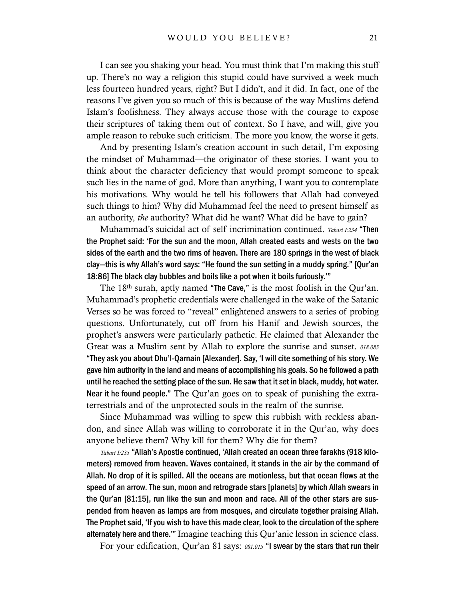I can see you shaking your head. You must think that I'm making this stuff up. There's no way a religion this stupid could have survived a week much less fourteen hundred years, right? But I didn't, and it did. In fact, one of the reasons I've given you so much of this is because of the way Muslims defend Islam's foolishness. They always accuse those with the courage to expose their scriptures of taking them out of context. So I have, and will, give you ample reason to rebuke such criticism. The more you know, the worse it gets.

And by presenting Islam's creation account in such detail, I'm exposing the mindset of Muhammad—the originator of these stories. I want you to think about the character deficiency that would prompt someone to speak such lies in the name of god. More than anything, I want you to contemplate his motivations. Why would he tell his followers that Allah had conveyed such things to him? Why did Muhammad feel the need to present himself as an authority, *the* authority? What did he want? What did he have to gain?

Muhammad's suicidal act of self incrimination continued. *Tabari I:234* "Then the Prophet said: 'For the sun and the moon, Allah created easts and wests on the two sides of the earth and the two rims of heaven. There are 180 springs in the west of black clay—this is why Allah's word says: "He found the sun setting in a muddy spring." [Qur'an 18:86] The black clay bubbles and boils like a pot when it boils furiously.'"

The 18th surah, aptly named "The Cave," is the most foolish in the Qur'an. Muhammad's prophetic credentials were challenged in the wake of the Satanic Verses so he was forced to "reveal" enlightened answers to a series of probing questions. Unfortunately, cut off from his Hanif and Jewish sources, the prophet's answers were particularly pathetic. He claimed that Alexander the Great was a Muslim sent by Allah to explore the sunrise and sunset. *018.083* "They ask you about Dhu'l-Qarnain [Alexander]. Say, 'I will cite something of his story. We gave him authority in the land and means of accomplishing his goals. So he followed a path until he reached the setting place of the sun. He saw that it set in black, muddy, hot water. Near it he found people." The Qur'an goes on to speak of punishing the extraterrestrials and of the unprotected souls in the realm of the sunrise.

Since Muhammad was willing to spew this rubbish with reckless abandon, and since Allah was willing to corroborate it in the Qur'an, why does anyone believe them? Why kill for them? Why die for them?

*Tabari I:235* "Allah's Apostle continued, 'Allah created an ocean three farakhs (918 kilometers) removed from heaven. Waves contained, it stands in the air by the command of Allah. No drop of it is spilled. All the oceans are motionless, but that ocean flows at the speed of an arrow. The sun, moon and retrograde stars [planets] by which Allah swears in the Qur'an [81:15], run like the sun and moon and race. All of the other stars are suspended from heaven as lamps are from mosques, and circulate together praising Allah. The Prophet said, 'If you wish to have this made clear, look to the circulation of the sphere alternately here and there.'" Imagine teaching this Qur'anic lesson in science class.

For your edification, Qur'an 81 says: *081.015* "I swear by the stars that run their